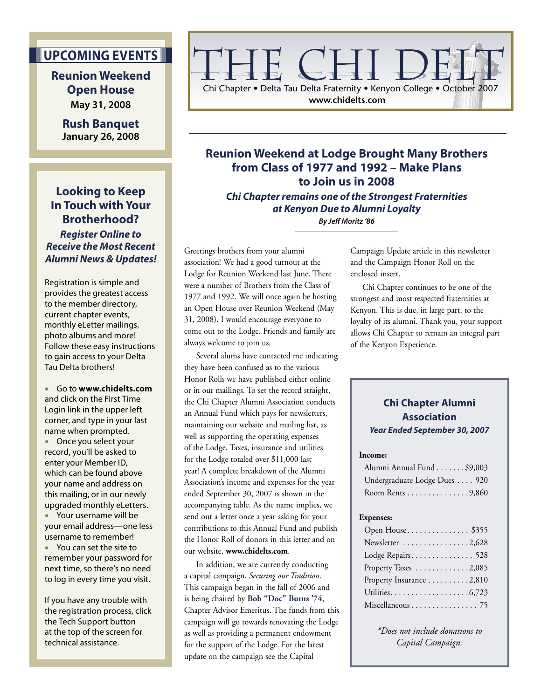## **UPCOMING EVENTS**

**Reunion Weekend Open House May 31, 2008**

**Rush Banquet January 26, 2008**

**Looking to Keep In Touch with Your Brotherhood? Register Online to Receive the Most Recent Alumni News & Updates!** 

Registration is simple and provides the greatest access to the member directory, current chapter events, monthly eLetter mailings, photo albums and more! Follow these easy instructions to gain access to your Delta Tau Delta brothers!

• Go to **www.chidelts.com** and click on the First Time Login link in the upper left corner, and type in your last name when prompted.

• Once you select your record, you'll be asked to enter your Member ID, which can be found above your name and address on this mailing, or in our newly upgraded monthly eLetters.

• Your username will be your email address—one less username to remember! • You can set the site to remember your password for

next time, so there's no need to log in every time you visit.

If you have any trouble with the registration process, click the Tech Support button at the top of the screen for technical assistance.

# Chi Chapter • Delta Tau Delta Fraternity • Kenyon College • October 2007

**www.chidelts.com**

## **Reunion Weekend at Lodge Brought Many Brothers from Class of 1977 and 1992 – Make Plans to Join us in 2008**

**Chi Chapter remains one of the Strongest Fraternities at Kenyon Due to Alumni Loyalty**

**By Jeff Moritz '86**

Greetings brothers from your alumni association! We had a good turnout at the Lodge for Reunion Weekend last June. There were a number of Brothers from the Class of 1977 and 1992. We will once again be hosting an Open House over Reunion Weekend (May 31, 2008). I would encourage everyone to come out to the Lodge. Friends and family are always welcome to join us.

 Several alums have contacted me indicating they have been confused as to the various Honor Rolls we have published either online or in our mailings. To set the record straight, the Chi Chapter Alumni Association conducts an Annual Fund which pays for newsletters, maintaining our website and mailing list, as well as supporting the operating expenses of the Lodge. Taxes, insurance and utilities for the Lodge totaled over \$11,000 last year! A complete breakdown of the Alumni Association's income and expenses for the year ended September 30, 2007 is shown in the accompanying table. As the name implies, we send out a letter once a year asking for your contributions to this Annual Fund and publish the Honor Roll of donors in this letter and on our website, **www.chidelts.com**.

 In addition, we are currently conducting a capital campaign, *Securing our Tradition*. This campaign began in the fall of 2006 and is being chaired by **Bob "Doc" Burns '74**, Chapter Advisor Emeritus. The funds from this campaign will go towards renovating the Lodge as well as providing a permanent endowment for the support of the Lodge. For the latest update on the campaign see the Capital

Campaign Update article in this newsletter and the Campaign Honor Roll on the enclosed insert.

 Chi Chapter continues to be one of the strongest and most respected fraternities at Kenyon. This is due, in large part, to the loyalty of its alumni. Thank you, your support allows Chi Chapter to remain an integral part of the Kenyon Experience.

#### **Chi Chapter Alumni Association Year Ended September 30, 2007**

#### **Income:**

| Alumni Annual Fund \$9,003   |  |
|------------------------------|--|
| Undergraduate Lodge Dues 920 |  |
| Room Rents 9,860             |  |

#### **Expenses:**

| Open House\$355          |
|--------------------------|
| Newsletter 2,628         |
| Lodge Repairs 528        |
| Property Taxes 2,085     |
| Property Insurance 2,810 |
|                          |
|                          |

*\*Does not include donations to Capital Campaign.*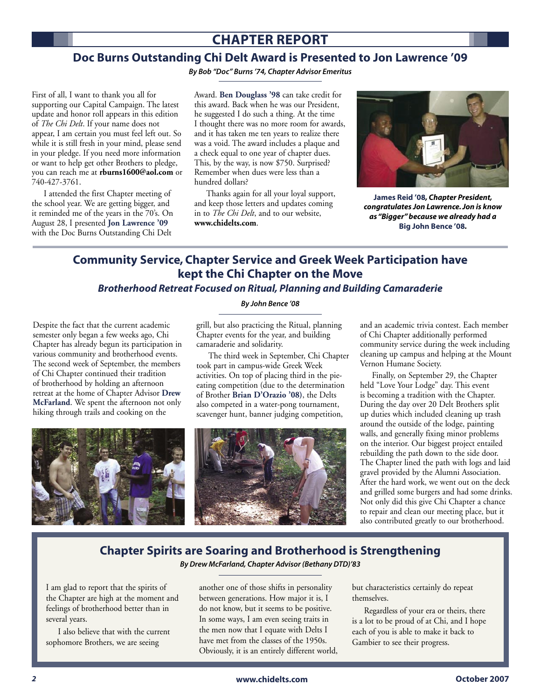## **CHAPTER REPORT**

#### **Doc Burns Outstanding Chi Delt Award is Presented to Jon Lawrence '09**

**By Bob "Doc" Burns '74, Chapter Advisor Emeritus**

First of all, I want to thank you all for supporting our Capital Campaign. The latest update and honor roll appears in this edition of *The Chi Delt*. If your name does not appear, I am certain you must feel left out. So while it is still fresh in your mind, please send in your pledge. If you need more information or want to help get other Brothers to pledge, you can reach me at **rburns1600@aol.com** or 740-427-3761.

 I attended the first Chapter meeting of the school year. We are getting bigger, and it reminded me of the years in the 70's. On August 28, I presented **Jon Lawrence '09** with the Doc Burns Outstanding Chi Delt

Award. **Ben Douglass '98** can take credit for this award. Back when he was our President, he suggested I do such a thing. At the time I thought there was no more room for awards, and it has taken me ten years to realize there was a void. The award includes a plaque and a check equal to one year of chapter dues. This, by the way, is now \$750. Surprised? Remember when dues were less than a hundred dollars?

 Thanks again for all your loyal support, and keep those letters and updates coming in to *The Chi Delt*, and to our website, **www.chidelts.com**.



**James Reid '08***, Chapter President, congratulates Jon Lawrence. Jon is know as "Bigger" because we already had a*  **Big John Bence '08***.* 

### **Community Service, Chapter Service and Greek Week Participation have kept the Chi Chapter on the Move Brotherhood Retreat Focused on Ritual, Planning and Building Camaraderie**

Despite the fact that the current academic semester only began a few weeks ago, Chi Chapter has already begun its participation in various community and brotherhood events. The second week of September, the members of Chi Chapter continued their tradition of brotherhood by holding an afternoon retreat at the home of Chapter Advisor **Drew McFarland**. We spent the afternoon not only hiking through trails and cooking on the

#### **By John Bence '08**

grill, but also practicing the Ritual, planning Chapter events for the year, and building camaraderie and solidarity.

 The third week in September, Chi Chapter took part in campus-wide Greek Week activities. On top of placing third in the pieeating competition (due to the determination of Brother **Brian D'Orazio '08)**, the Delts also competed in a water-pong tournament, scavenger hunt, banner judging competition,



and an academic trivia contest. Each member of Chi Chapter additionally performed community service during the week including cleaning up campus and helping at the Mount Vernon Humane Society.

 Finally, on September 29, the Chapter held "Love Your Lodge" day. This event is becoming a tradition with the Chapter. During the day over 20 Delt Brothers split up duties which included cleaning up trash around the outside of the lodge, painting walls, and generally fixing minor problems on the interior. Our biggest project entailed rebuilding the path down to the side door. The Chapter lined the path with logs and laid gravel provided by the Alumni Association. After the hard work, we went out on the deck and grilled some burgers and had some drinks. Not only did this give Chi Chapter a chance to repair and clean our meeting place, but it also contributed greatly to our brotherhood.

## **Chapter Spirits are Soaring and Brotherhood is Strengthening**

**By Drew McFarland, Chapter Advisor (Bethany DTD)'83**

I am glad to report that the spirits of the Chapter are high at the moment and feelings of brotherhood better than in several years.

 I also believe that with the current sophomore Brothers, we are seeing

another one of those shifts in personality between generations. How major it is, I do not know, but it seems to be positive. In some ways, I am even seeing traits in the men now that I equate with Delts I have met from the classes of the 1950s. Obviously, it is an entirely different world, but characteristics certainly do repeat themselves.

 Regardless of your era or theirs, there is a lot to be proud of at Chi, and I hope each of you is able to make it back to Gambier to see their progress.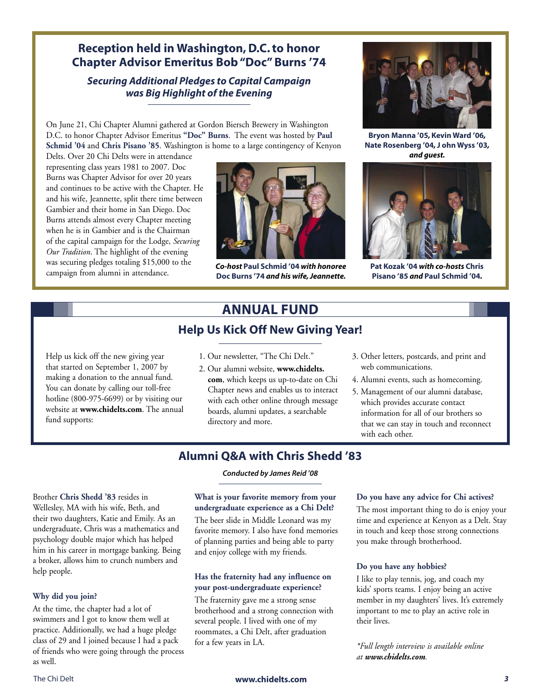### **Reception held in Washington, D.C. to honor Chapter Advisor Emeritus Bob "Doc" Burns '74**

#### **Securing Additional Pledges to Capital Campaign was Big Highlight of the Evening**

On June 21, Chi Chapter Alumni gathered at Gordon Biersch Brewery in Washington D.C. to honor Chapter Advisor Emeritus **"Doc" Burns**. The event was hosted by **Paul Schmid '04** and **Chris Pisano '85**. Washington is home to a large contingency of Kenyon

Delts. Over 20 Chi Delts were in attendance representing class years 1981 to 2007. Doc Burns was Chapter Advisor for over 20 years and continues to be active with the Chapter. He and his wife, Jeannette, split there time between Gambier and their home in San Diego. Doc Burns attends almost every Chapter meeting when he is in Gambier and is the Chairman of the capital campaign for the Lodge, *Securing Our Tradition*. The highlight of the evening was securing pledges totaling \$15,000 to the campaign from alumni in attendance.



*Co-host* **Paul Schmid '04** *with honoree*  **Doc Burns '74** *and his wife, Jeannette.*



**Bryon Manna '05***,* **Kevin Ward '06***,*  **Nate Rosenberg '04***,* **J ohn Wyss '03***, and guest.*



**Pat Kozak '04** *with co-hosts* **Chris Pisano '85** *and* **Paul Schmid '04***.*

## **ANNUAL FUND**

#### **Help Us Kick Off New Giving Year!**

Help us kick off the new giving year that started on September 1, 2007 by making a donation to the annual fund. You can donate by calling our toll-free hotline (800-975-6699) or by visiting our website at **www.chidelts.com**. The annual fund supports:

- 1. Our newsletter, "The Chi Delt."
- 2. Our alumni website, **www.chidelts. com**, which keeps us up-to-date on Chi Chapter news and enables us to interact with each other online through message boards, alumni updates, a searchable directory and more.
- 3. Other letters, postcards, and print and web communications.
- 4. Alumni events, such as homecoming.
- 5. Management of our alumni database, which provides accurate contact information for all of our brothers so that we can stay in touch and reconnect with each other.

## **Alumni Q&A with Chris Shedd '83**

**Conducted by James Reid '08**

#### **What is your favorite memory from your undergraduate experience as a Chi Delt?**

The beer slide in Middle Leonard was my favorite memory. I also have fond memories of planning parties and being able to party and enjoy college with my friends.

#### **Has the fraternity had any influence on your post-undergraduate experience?**

The fraternity gave me a strong sense brotherhood and a strong connection with several people. I lived with one of my roommates, a Chi Delt, after graduation for a few years in LA.

#### **Do you have any advice for Chi actives?**

The most important thing to do is enjoy your time and experience at Kenyon as a Delt. Stay in touch and keep those strong connections you make through brotherhood.

#### **Do you have any hobbies?**

I like to play tennis, jog, and coach my kids' sports teams. I enjoy being an active member in my daughters' lives. It's extremely important to me to play an active role in their lives.

*\*Full length interview is available online at www.chidelts.com.*

## **Why did you join?**

help people.

Brother **Chris Shedd '83** resides in Wellesley, MA with his wife, Beth, and their two daughters, Katie and Emily. As an undergraduate, Chris was a mathematics and psychology double major which has helped him in his career in mortgage banking. Being a broker, allows him to crunch numbers and

At the time, the chapter had a lot of swimmers and I got to know them well at practice. Additionally, we had a huge pledge class of 29 and I joined because I had a pack of friends who were going through the process as well.